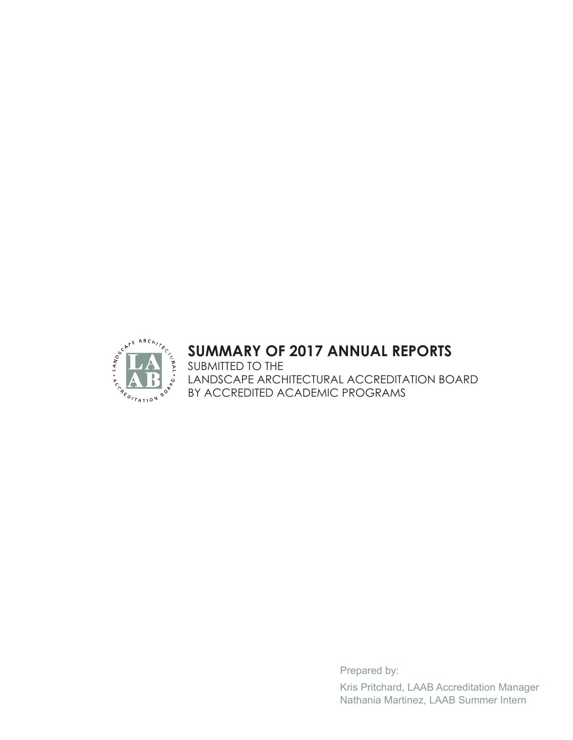

# **SUMMARY OF 2017 ANNUAL REPORTS** SUBMITTED TO THE LANDSCAPE ARCHITECTURAL ACCREDITATION BOARD BY ACCREDITED ACADEMIC PROGRAMS

Prepared by:

Kris Pritchard, LAAB Accreditation Manager Nathania Martinez, LAAB Summer Intern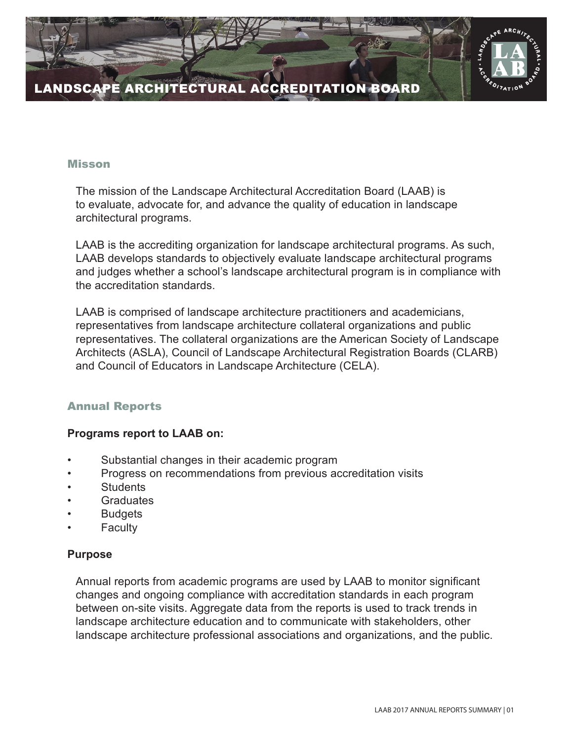

#### **Misson**

The mission of the Landscape Architectural Accreditation Board (LAAB) is to evaluate, advocate for, and advance the quality of education in landscape architectural programs.

LAAB is the accrediting organization for landscape architectural programs. As such, LAAB develops standards to objectively evaluate landscape architectural programs and judges whether a school's landscape architectural program is in compliance with the accreditation standards.

LAAB is comprised of landscape architecture practitioners and academicians, representatives from landscape architecture collateral organizations and public representatives. The collateral organizations are the American Society of Landscape Architects (ASLA), Council of Landscape Architectural Registration Boards (CLARB) and Council of Educators in Landscape Architecture (CELA).

#### Annual Reports

#### **Programs report to LAAB on:**

- Substantial changes in their academic program
- Progress on recommendations from previous accreditation visits
- **Students**
- **Graduates**
- **Budgets**
- Faculty

#### **Purpose**

Annual reports from academic programs are used by LAAB to monitor significant changes and ongoing compliance with accreditation standards in each program between on-site visits. Aggregate data from the reports is used to track trends in landscape architecture education and to communicate with stakeholders, other landscape architecture professional associations and organizations, and the public.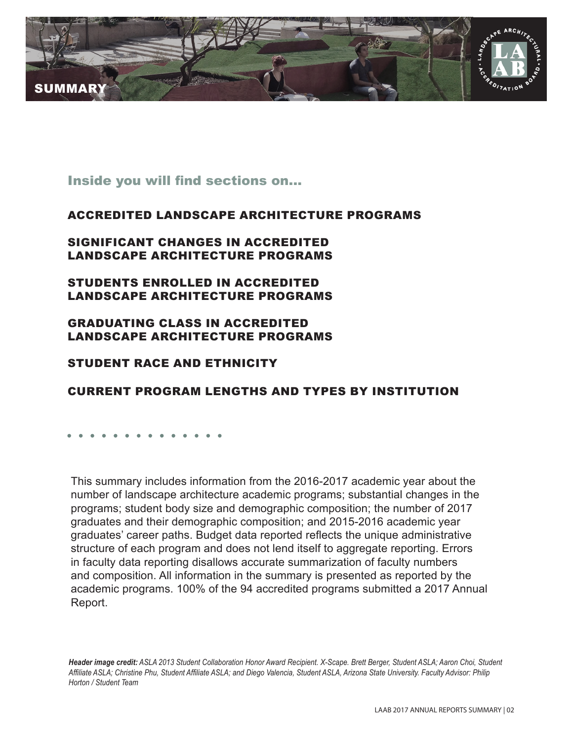

# Inside you will find sections on...

#### ACCREDITED LANDSCAPE ARCHITECTURE PROGRAMS

#### SIGNIFICANT CHANGES IN ACCREDITED LANDSCAPE ARCHITECTURE PROGRAMS

#### STUDENTS ENROLLED IN ACCREDITED LANDSCAPE ARCHITECTURE PROGRAMS

#### GRADUATING CLASS IN ACCREDITED LANDSCAPE ARCHITECTURE PROGRAMS

#### STUDENT RACE AND ETHNICITY

### CURRENT PROGRAM LENGTHS AND TYPES BY INSTITUTION

This summary includes information from the 2016-2017 academic year about the number of landscape architecture academic programs; substantial changes in the programs; student body size and demographic composition; the number of 2017 graduates and their demographic composition; and 2015-2016 academic year graduates' career paths. Budget data reported reflects the unique administrative structure of each program and does not lend itself to aggregate reporting. Errors in faculty data reporting disallows accurate summarization of faculty numbers and composition. All information in the summary is presented as reported by the academic programs. 100% of the 94 accredited programs submitted a 2017 Annual Report.

*Header image credit: ASLA 2013 Student Collaboration Honor Award Recipient. X-Scape. Brett Berger, Student ASLA; Aaron Choi, Student Affiliate ASLA; Christine Phu, Student Affiliate ASLA; and Diego Valencia, Student ASLA, Arizona State University. Faculty Advisor: Philip Horton / Student Team*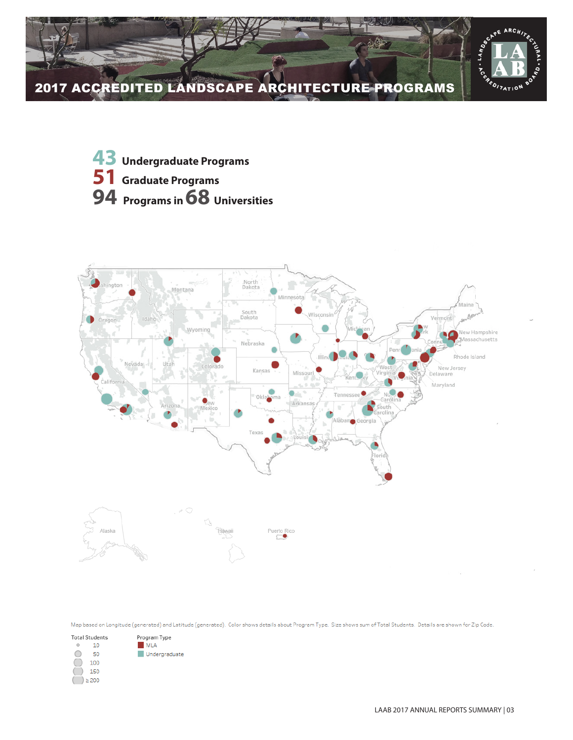





Map based on Longitude (generated) and Latitude (generated). Color shows details about Program Type. Size shows sum of Total Students. Details are shown for Zip Code.

| <b>Total Students</b> |            | Program Type  |
|-----------------------|------------|---------------|
|                       | 10         | <b>MLA</b>    |
|                       | 50         | Undergraduate |
|                       | 100        |               |
|                       | 150        |               |
|                       | $\geq 200$ |               |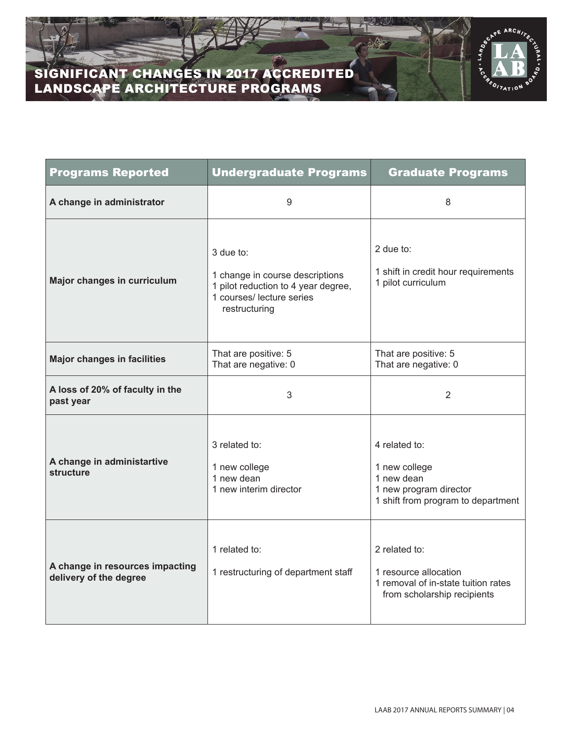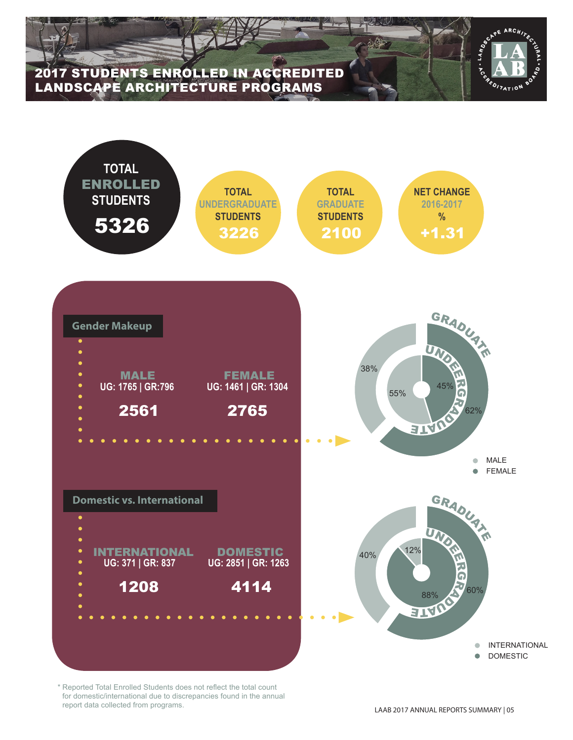# 2017 STUDENTS ENROLLED IN ACCREDITED LANDSCAPE ARCHITECTURE PROGRAMS



Reported Total Enrolled Students does not reflect the total count \* for domestic/international due to discrepancies found in the annual report data collected from programs.

ARCH

PEDITATION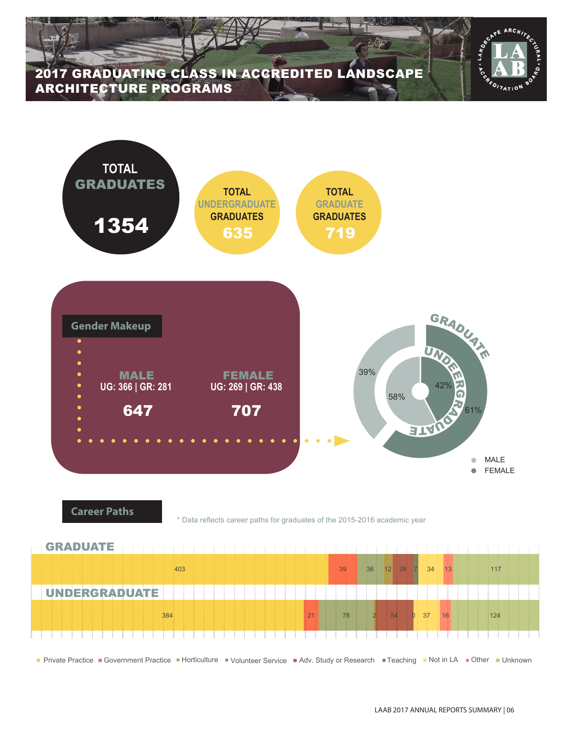# ARCA 2017 GRADUATING CLASS IN ACCREDITED LANDSCAPE  $\epsilon_{\rho_{\texttt{0}T\texttt{A}\texttt{T10}}}$ ARCHITECTURE PROGRAMS



#### **Career Paths**

\* Data reflects career paths for graduates of the 2015-2016 academic year



LAAB 2017 ANNUAL REPORTS SUMMARY | 06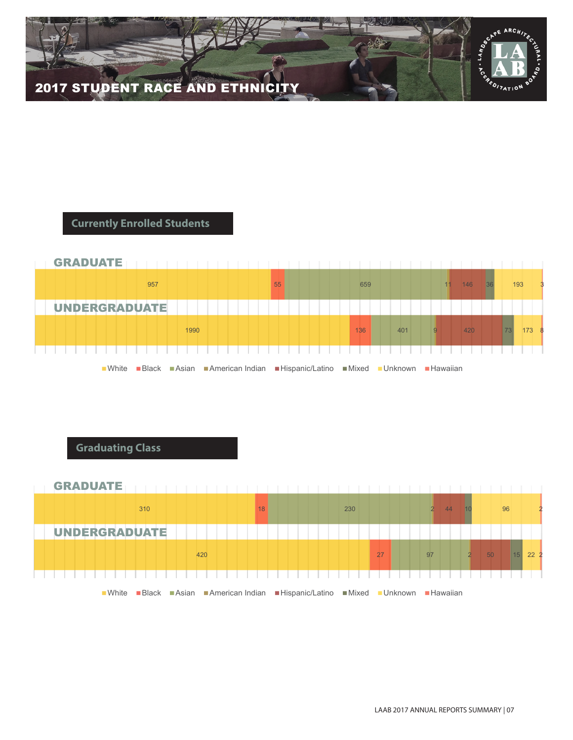

# **Currently Enrolled Students**



#### **Graduating Class**

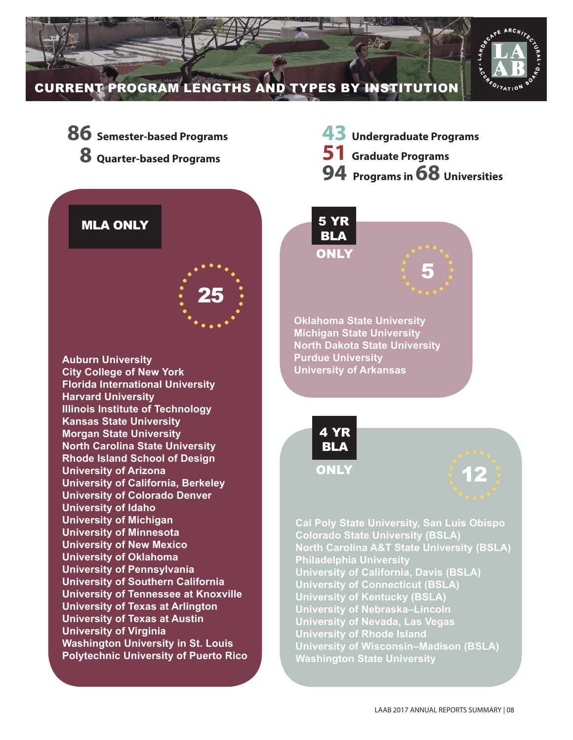

**86 Semester-based Programs 8 Quarter-based Programs**

25

**43 Undergraduate Programs**

**51 Graduate Programs**

**94 Programs in 68 Universities**

5

MLA ONLY

**Auburn University City College of New York Florida International University Harvard University Illinois Institute of Technology Kansas State University Morgan State University North Carolina State University Rhode Island School of Design University of Arizona University of California, Berkeley University of Colorado Denver University of Idaho University of Michigan University of Minnesota University of New Mexico University of Oklahoma University of Pennsylvania University of Southern California University of Tennessee at Knoxville University of Texas at Arlington University of Texas at Austin University of Virginia Washington University in St. Louis Polytechnic University of Puerto Rico**



**Oklahoma State University Michigan State University North Dakota State University Purdue University University of Arkansas**





**Cal Poly State University, San Luis Obispo Colorado State University (BSLA) North Carolina A&T State University (BSLA) Philadelphia University University of California, Davis (BSLA) University of Connecticut (BSLA) University of Kentucky (BSLA) University of Nebraska–Lincoln University of Nevada, Las Vegas University of Rhode Island University of Wisconsin–Madison (BSLA) Washington State University**